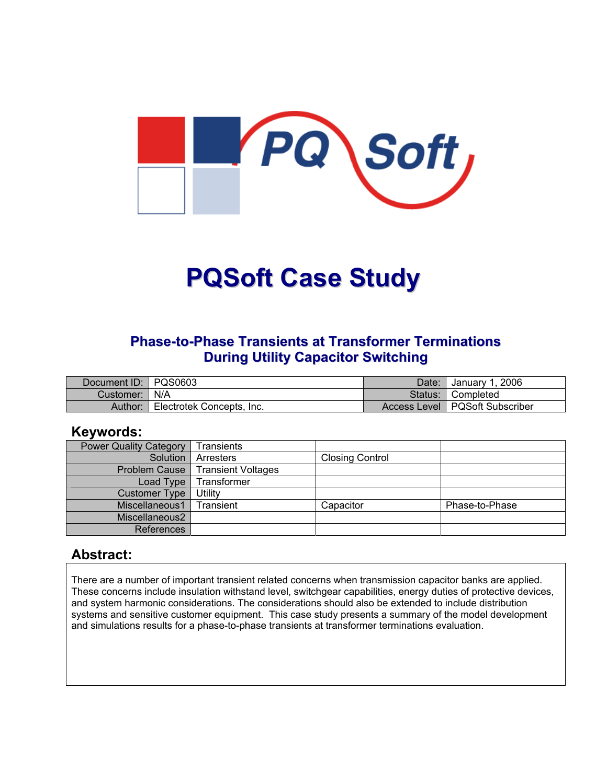

# **PQSoft Case Study**

#### **Phase-to-Phase Transients at Transformer Terminations During Utility Capacitor Switching**

| Document ID: PQS0603 |                           | Date:   | January 1, 2006                  |
|----------------------|---------------------------|---------|----------------------------------|
| Customer:   N/A      |                           | Status: | Completed                        |
| Author:              | Electrotek Concepts, Inc. |         | Access Level   PQSoft Subscriber |

#### **Keywords:**

| <b>Power Quality Category</b> | Transients                |                        |                |
|-------------------------------|---------------------------|------------------------|----------------|
| Solution                      | Arresters                 | <b>Closing Control</b> |                |
| Problem Cause                 | <b>Transient Voltages</b> |                        |                |
| Load Type                     | Transformer               |                        |                |
| <b>Customer Type</b>          | Utility                   |                        |                |
| Miscellaneous1                | <b>Transient</b>          | Capacitor              | Phase-to-Phase |
| Miscellaneous2                |                           |                        |                |
| References                    |                           |                        |                |

#### **Abstract:**

There are a number of important transient related concerns when transmission capacitor banks are applied. These concerns include insulation withstand level, switchgear capabilities, energy duties of protective devices, and system harmonic considerations. The considerations should also be extended to include distribution systems and sensitive customer equipment. This case study presents a summary of the model development and simulations results for a phase-to-phase transients at transformer terminations evaluation.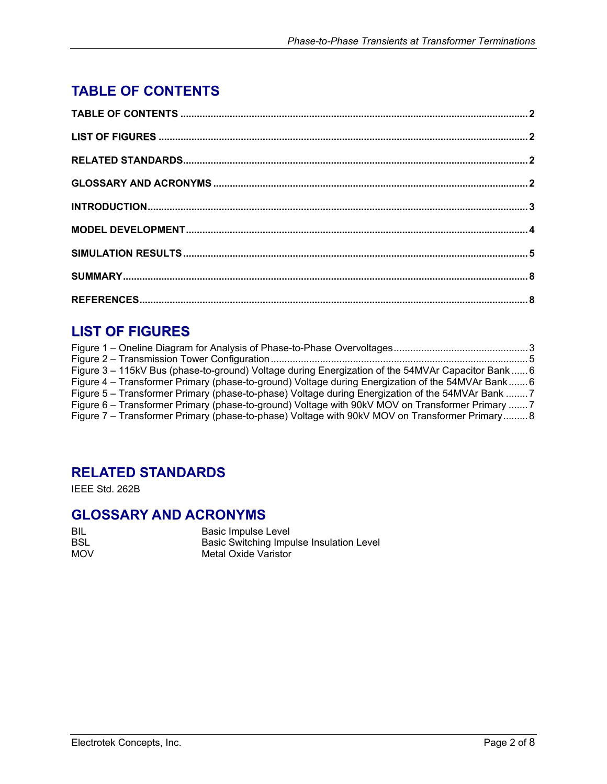## <span id="page-1-0"></span>**TABLE OF CONTENTS**

## **LIST OF FIGURES**

| Figure 3 - 115kV Bus (phase-to-ground) Voltage during Energization of the 54MVAr Capacitor Bank  6 |  |
|----------------------------------------------------------------------------------------------------|--|
| Figure 4 – Transformer Primary (phase-to-ground) Voltage during Energization of the 54MVAr Bank 6  |  |
| Figure 5 - Transformer Primary (phase-to-phase) Voltage during Energization of the 54MVAr Bank 7   |  |
| Figure 6 – Transformer Primary (phase-to-ground) Voltage with 90kV MOV on Transformer Primary 7    |  |
| Figure 7 – Transformer Primary (phase-to-phase) Voltage with 90kV MOV on Transformer Primary 8     |  |
|                                                                                                    |  |

### **RELATED STANDARDS**

IEEE Std. 262B

#### **GLOSSARY AND ACRONYMS**

Basic Impulse Level Basic Switching Impulse Insulation Level Metal Oxide Varistor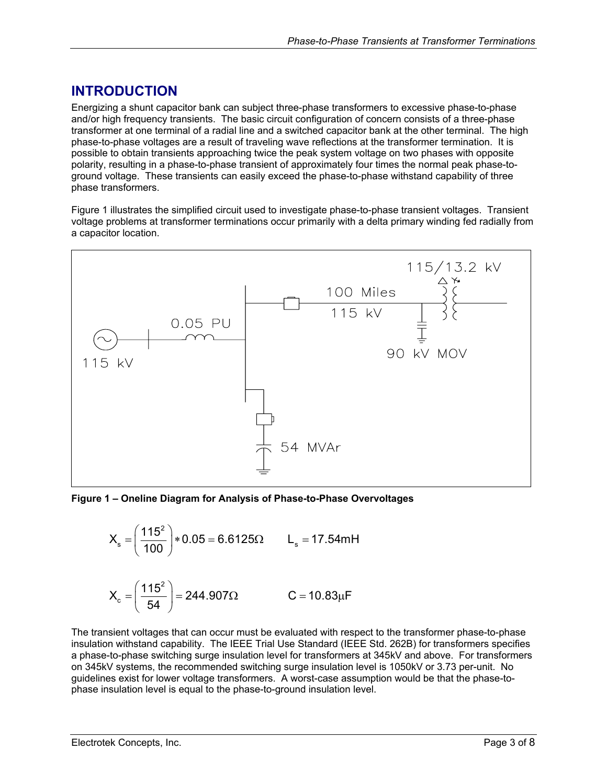### <span id="page-2-0"></span>**INTRODUCTION**

Energizing a shunt capacitor bank can subject three-phase transformers to excessive phase-to-phase and/or high frequency transients. The basic circuit configuration of concern consists of a three-phase transformer at one terminal of a radial line and a switched capacitor bank at the other terminal. The high phase-to-phase voltages are a result of traveling wave reflections at the transformer termination. It is possible to obtain transients approaching twice the peak system voltage on two phases with opposite polarity, resulting in a phase-to-phase transient of approximately four times the normal peak phase-toground voltage. These transients can easily exceed the phase-to-phase withstand capability of three phase transformers.

[Figure 1](#page-2-1) illustrates the simplified circuit used to investigate phase-to-phase transient voltages. Transient voltage problems at transformer terminations occur primarily with a delta primary winding fed radially from a capacitor location.

<span id="page-2-1"></span>

**Figure 1 – Oneline Diagram for Analysis of Phase-to-Phase Overvoltages** 



The transient voltages that can occur must be evaluated with respect to the transformer phase-to-phase insulation withstand capability. The IEEE Trial Use Standard (IEEE Std. 262B) for transformers specifies a phase-to-phase switching surge insulation level for transformers at 345kV and above. For transformers on 345kV systems, the recommended switching surge insulation level is 1050kV or 3.73 per-unit. No guidelines exist for lower voltage transformers. A worst-case assumption would be that the phase-tophase insulation level is equal to the phase-to-ground insulation level.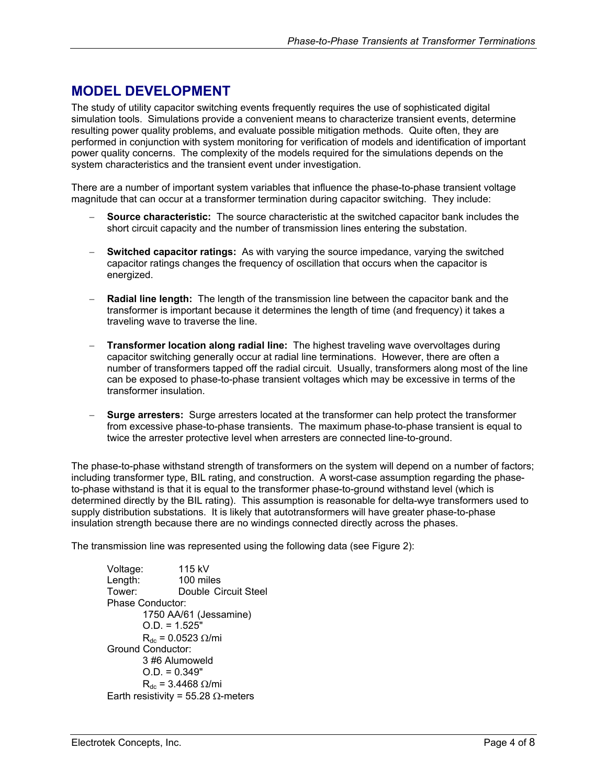#### <span id="page-3-0"></span>**MODEL DEVELOPMENT**

The study of utility capacitor switching events frequently requires the use of sophisticated digital simulation tools. Simulations provide a convenient means to characterize transient events, determine resulting power quality problems, and evaluate possible mitigation methods. Quite often, they are performed in conjunction with system monitoring for verification of models and identification of important power quality concerns. The complexity of the models required for the simulations depends on the system characteristics and the transient event under investigation.

There are a number of important system variables that influence the phase-to-phase transient voltage magnitude that can occur at a transformer termination during capacitor switching. They include:

- − **Source characteristic:** The source characteristic at the switched capacitor bank includes the short circuit capacity and the number of transmission lines entering the substation.
- **Switched capacitor ratings:** As with varying the source impedance, varying the switched capacitor ratings changes the frequency of oscillation that occurs when the capacitor is energized.
- **Radial line length:** The length of the transmission line between the capacitor bank and the transformer is important because it determines the length of time (and frequency) it takes a traveling wave to traverse the line.
- − **Transformer location along radial line:** The highest traveling wave overvoltages during capacitor switching generally occur at radial line terminations. However, there are often a number of transformers tapped off the radial circuit. Usually, transformers along most of the line can be exposed to phase-to-phase transient voltages which may be excessive in terms of the transformer insulation.
- **Surge arresters:** Surge arresters located at the transformer can help protect the transformer from excessive phase-to-phase transients. The maximum phase-to-phase transient is equal to twice the arrester protective level when arresters are connected line-to-ground.

The phase-to-phase withstand strength of transformers on the system will depend on a number of factors; including transformer type, BIL rating, and construction. A worst-case assumption regarding the phaseto-phase withstand is that it is equal to the transformer phase-to-ground withstand level (which is determined directly by the BIL rating). This assumption is reasonable for delta-wye transformers used to supply distribution substations. It is likely that autotransformers will have greater phase-to-phase insulation strength because there are no windings connected directly across the phases.

The transmission line was represented using the following data (see [Figure 2\)](#page-4-1):

 Voltage: 115 kV Length: 100 miles Tower: Double Circuit Steel Phase Conductor: 1750 AA/61 (Jessamine) O.D. = 1.525"  $R_{dc}$  = 0.0523  $\Omega/mi$  Ground Conductor: 3 #6 Alumoweld  $O.D. = 0.349"$  $R_{dc}$  = 3.4468 Ω/mi Earth resistivity = 55.28  $\Omega$ -meters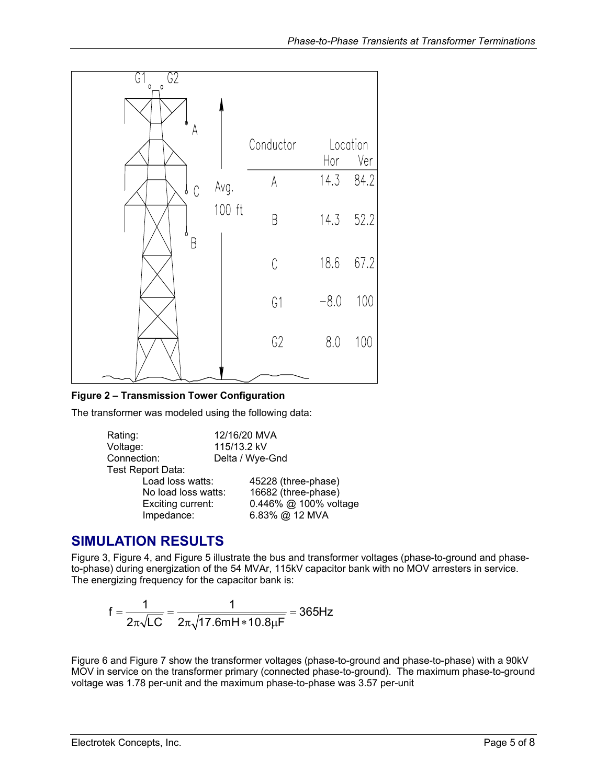<span id="page-4-1"></span><span id="page-4-0"></span>

#### **Figure 2 – Transmission Tower Configuration**

The transformer was modeled using the following data:

| Rating:           |                     | 12/16/20 MVA          |  |
|-------------------|---------------------|-----------------------|--|
| Voltage:          |                     | 115/13.2 kV           |  |
| Connection:       |                     | Delta / Wye-Gnd       |  |
| Test Report Data: |                     |                       |  |
| Load loss watts:  |                     | 45228 (three-phase)   |  |
|                   | No load loss watts: | 16682 (three-phase)   |  |
| Exciting current: |                     | 0.446% @ 100% voltage |  |
| Impedance:        |                     | 6.83% @ 12 MVA        |  |

#### **SIMULATION RESULTS**

[Figure 3,](#page-5-1) [Figure 4,](#page-5-2) and [Figure 5](#page-6-1) illustrate the bus and transformer voltages (phase-to-ground and phaseto-phase) during energization of the 54 MVAr, 115kV capacitor bank with no MOV arresters in service. The energizing frequency for the capacitor bank is:

$$
f = \frac{1}{2\pi\sqrt{LC}} = \frac{1}{2\pi\sqrt{17.6mH * 10.8\mu F}} = 365Hz
$$

[Figure 6](#page-6-2) and [Figure 7](#page-7-1) show the transformer voltages (phase-to-ground and phase-to-phase) with a 90kV MOV in service on the transformer primary (connected phase-to-ground). The maximum phase-to-ground voltage was 1.78 per-unit and the maximum phase-to-phase was 3.57 per-unit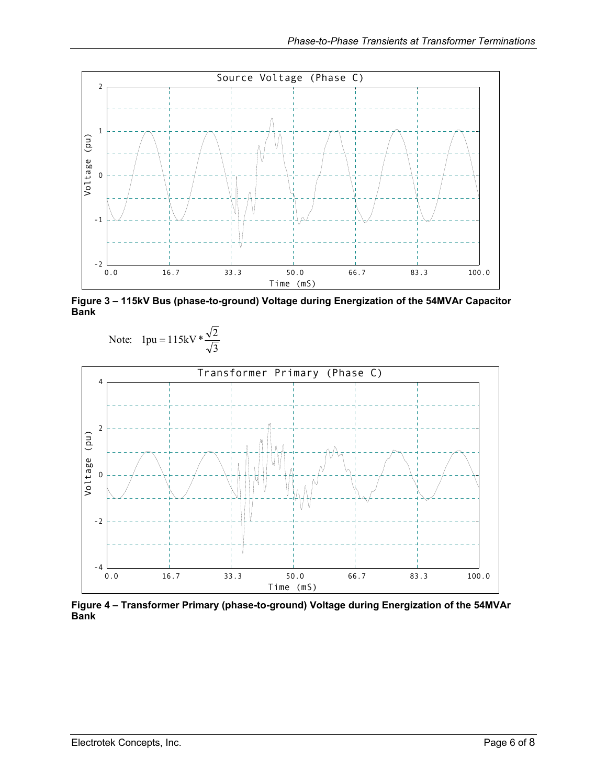<span id="page-5-1"></span><span id="page-5-0"></span>

**Figure 3 – 115kV Bus (phase-to-ground) Voltage during Energization of the 54MVAr Capacitor Bank** 



<span id="page-5-2"></span>

**Figure 4 – Transformer Primary (phase-to-ground) Voltage during Energization of the 54MVAr Bank**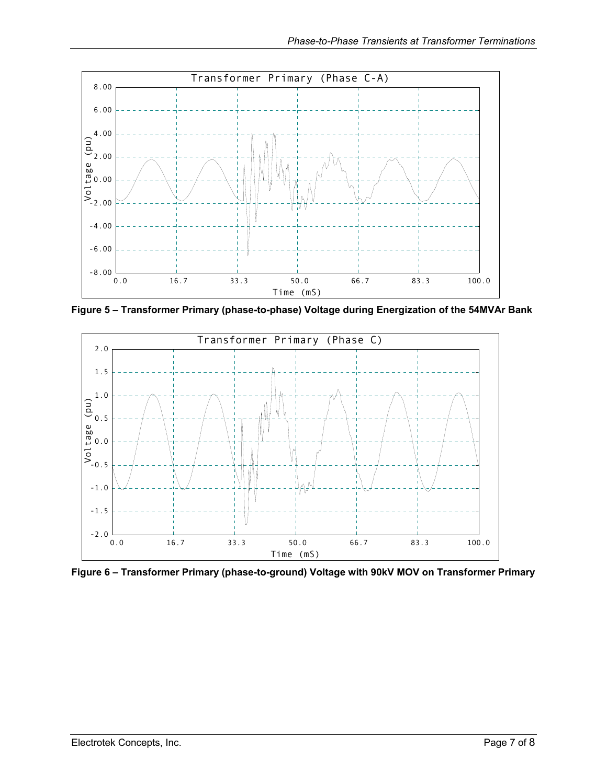<span id="page-6-1"></span><span id="page-6-0"></span>

**Figure 5 – Transformer Primary (phase-to-phase) Voltage during Energization of the 54MVAr Bank** 

<span id="page-6-2"></span>

**Figure 6 – Transformer Primary (phase-to-ground) Voltage with 90kV MOV on Transformer Primary**